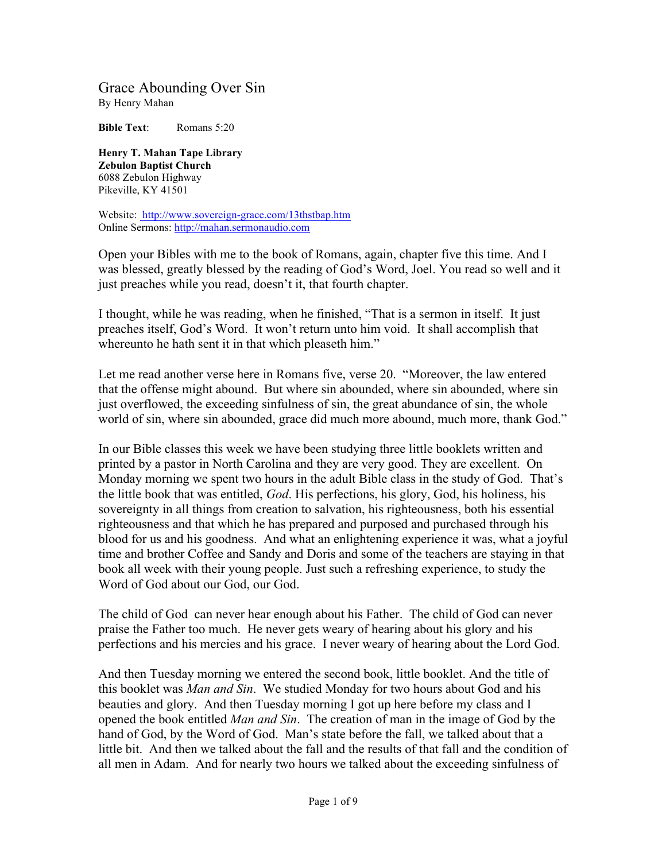## Grace Abounding Over Sin By Henry Mahan

**Bible Text:** Romans 5:20

**Henry T. Mahan Tape Library Zebulon Baptist Church** 6088 Zebulon Highway Pikeville, KY 41501

Website: http://www.sovereign-grace.com/13thstbap.htm Online Sermons: http://mahan.sermonaudio.com

Open your Bibles with me to the book of Romans, again, chapter five this time. And I was blessed, greatly blessed by the reading of God's Word, Joel. You read so well and it just preaches while you read, doesn't it, that fourth chapter.

I thought, while he was reading, when he finished, "That is a sermon in itself. It just preaches itself, God's Word. It won't return unto him void. It shall accomplish that whereunto he hath sent it in that which pleaseth him."

Let me read another verse here in Romans five, verse 20. "Moreover, the law entered that the offense might abound. But where sin abounded, where sin abounded, where sin just overflowed, the exceeding sinfulness of sin, the great abundance of sin, the whole world of sin, where sin abounded, grace did much more abound, much more, thank God."

In our Bible classes this week we have been studying three little booklets written and printed by a pastor in North Carolina and they are very good. They are excellent. On Monday morning we spent two hours in the adult Bible class in the study of God. That's the little book that was entitled, *God*. His perfections, his glory, God, his holiness, his sovereignty in all things from creation to salvation, his righteousness, both his essential righteousness and that which he has prepared and purposed and purchased through his blood for us and his goodness. And what an enlightening experience it was, what a joyful time and brother Coffee and Sandy and Doris and some of the teachers are staying in that book all week with their young people. Just such a refreshing experience, to study the Word of God about our God, our God.

The child of God can never hear enough about his Father. The child of God can never praise the Father too much. He never gets weary of hearing about his glory and his perfections and his mercies and his grace. I never weary of hearing about the Lord God.

And then Tuesday morning we entered the second book, little booklet. And the title of this booklet was *Man and Sin*. We studied Monday for two hours about God and his beauties and glory. And then Tuesday morning I got up here before my class and I opened the book entitled *Man and Sin*. The creation of man in the image of God by the hand of God, by the Word of God. Man's state before the fall, we talked about that a little bit. And then we talked about the fall and the results of that fall and the condition of all men in Adam. And for nearly two hours we talked about the exceeding sinfulness of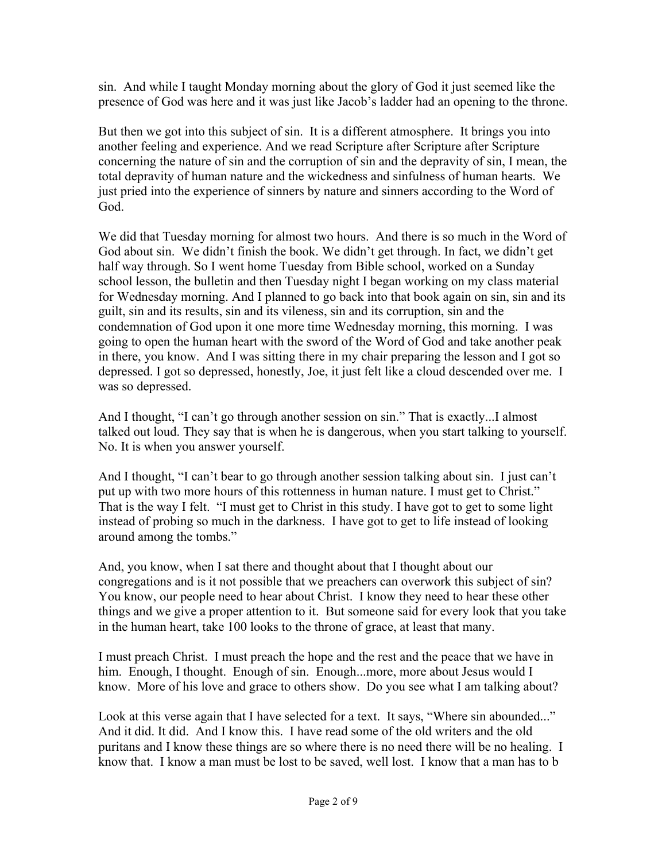sin. And while I taught Monday morning about the glory of God it just seemed like the presence of God was here and it was just like Jacob's ladder had an opening to the throne.

But then we got into this subject of sin. It is a different atmosphere. It brings you into another feeling and experience. And we read Scripture after Scripture after Scripture concerning the nature of sin and the corruption of sin and the depravity of sin, I mean, the total depravity of human nature and the wickedness and sinfulness of human hearts. We just pried into the experience of sinners by nature and sinners according to the Word of God.

We did that Tuesday morning for almost two hours. And there is so much in the Word of God about sin. We didn't finish the book. We didn't get through. In fact, we didn't get half way through. So I went home Tuesday from Bible school, worked on a Sunday school lesson, the bulletin and then Tuesday night I began working on my class material for Wednesday morning. And I planned to go back into that book again on sin, sin and its guilt, sin and its results, sin and its vileness, sin and its corruption, sin and the condemnation of God upon it one more time Wednesday morning, this morning. I was going to open the human heart with the sword of the Word of God and take another peak in there, you know. And I was sitting there in my chair preparing the lesson and I got so depressed. I got so depressed, honestly, Joe, it just felt like a cloud descended over me. I was so depressed.

And I thought, "I can't go through another session on sin." That is exactly...I almost talked out loud. They say that is when he is dangerous, when you start talking to yourself. No. It is when you answer yourself.

And I thought, "I can't bear to go through another session talking about sin. I just can't put up with two more hours of this rottenness in human nature. I must get to Christ." That is the way I felt. "I must get to Christ in this study. I have got to get to some light instead of probing so much in the darkness. I have got to get to life instead of looking around among the tombs."

And, you know, when I sat there and thought about that I thought about our congregations and is it not possible that we preachers can overwork this subject of sin? You know, our people need to hear about Christ. I know they need to hear these other things and we give a proper attention to it. But someone said for every look that you take in the human heart, take 100 looks to the throne of grace, at least that many.

I must preach Christ. I must preach the hope and the rest and the peace that we have in him. Enough, I thought. Enough of sin. Enough...more, more about Jesus would I know. More of his love and grace to others show. Do you see what I am talking about?

Look at this verse again that I have selected for a text. It says, "Where sin abounded..." And it did. It did. And I know this. I have read some of the old writers and the old puritans and I know these things are so where there is no need there will be no healing. I know that. I know a man must be lost to be saved, well lost. I know that a man has to b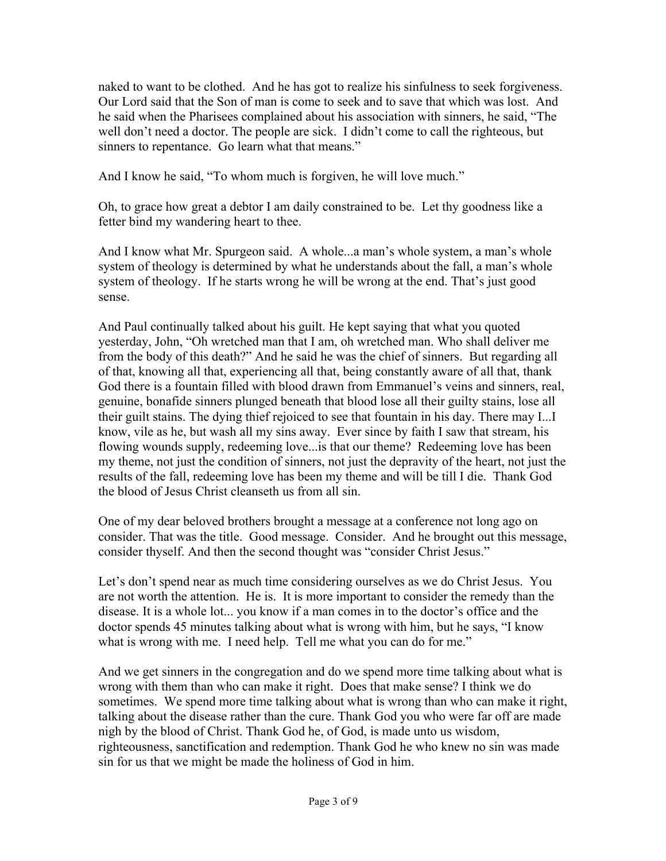naked to want to be clothed. And he has got to realize his sinfulness to seek forgiveness. Our Lord said that the Son of man is come to seek and to save that which was lost. And he said when the Pharisees complained about his association with sinners, he said, "The well don't need a doctor. The people are sick. I didn't come to call the righteous, but sinners to repentance. Go learn what that means."

And I know he said, "To whom much is forgiven, he will love much."

Oh, to grace how great a debtor I am daily constrained to be. Let thy goodness like a fetter bind my wandering heart to thee.

And I know what Mr. Spurgeon said. A whole...a man's whole system, a man's whole system of theology is determined by what he understands about the fall, a man's whole system of theology. If he starts wrong he will be wrong at the end. That's just good sense.

And Paul continually talked about his guilt. He kept saying that what you quoted yesterday, John, "Oh wretched man that I am, oh wretched man. Who shall deliver me from the body of this death?" And he said he was the chief of sinners. But regarding all of that, knowing all that, experiencing all that, being constantly aware of all that, thank God there is a fountain filled with blood drawn from Emmanuel's veins and sinners, real, genuine, bonafide sinners plunged beneath that blood lose all their guilty stains, lose all their guilt stains. The dying thief rejoiced to see that fountain in his day. There may I...I know, vile as he, but wash all my sins away. Ever since by faith I saw that stream, his flowing wounds supply, redeeming love...is that our theme? Redeeming love has been my theme, not just the condition of sinners, not just the depravity of the heart, not just the results of the fall, redeeming love has been my theme and will be till I die. Thank God the blood of Jesus Christ cleanseth us from all sin.

One of my dear beloved brothers brought a message at a conference not long ago on consider. That was the title. Good message. Consider. And he brought out this message, consider thyself. And then the second thought was "consider Christ Jesus."

Let's don't spend near as much time considering ourselves as we do Christ Jesus. You are not worth the attention. He is. It is more important to consider the remedy than the disease. It is a whole lot... you know if a man comes in to the doctor's office and the doctor spends 45 minutes talking about what is wrong with him, but he says, "I know what is wrong with me. I need help. Tell me what you can do for me."

And we get sinners in the congregation and do we spend more time talking about what is wrong with them than who can make it right. Does that make sense? I think we do sometimes. We spend more time talking about what is wrong than who can make it right, talking about the disease rather than the cure. Thank God you who were far off are made nigh by the blood of Christ. Thank God he, of God, is made unto us wisdom, righteousness, sanctification and redemption. Thank God he who knew no sin was made sin for us that we might be made the holiness of God in him.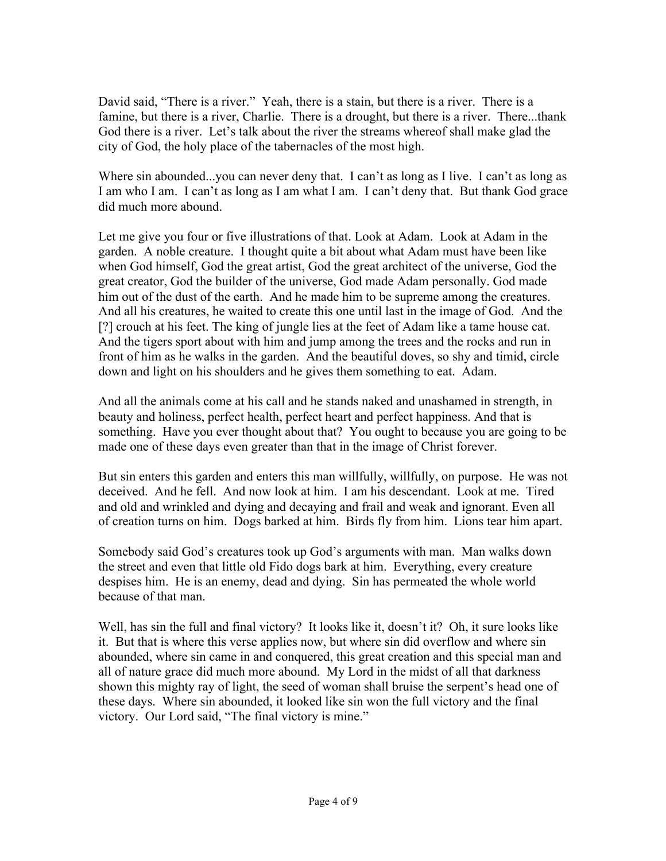David said, "There is a river." Yeah, there is a stain, but there is a river. There is a famine, but there is a river, Charlie. There is a drought, but there is a river. There...thank God there is a river. Let's talk about the river the streams whereof shall make glad the city of God, the holy place of the tabernacles of the most high.

Where sin abounded...you can never deny that. I can't as long as I live. I can't as long as I am who I am. I can't as long as I am what I am. I can't deny that. But thank God grace did much more abound.

Let me give you four or five illustrations of that. Look at Adam. Look at Adam in the garden. A noble creature. I thought quite a bit about what Adam must have been like when God himself, God the great artist, God the great architect of the universe, God the great creator, God the builder of the universe, God made Adam personally. God made him out of the dust of the earth. And he made him to be supreme among the creatures. And all his creatures, he waited to create this one until last in the image of God. And the [?] crouch at his feet. The king of jungle lies at the feet of Adam like a tame house cat. And the tigers sport about with him and jump among the trees and the rocks and run in front of him as he walks in the garden. And the beautiful doves, so shy and timid, circle down and light on his shoulders and he gives them something to eat. Adam.

And all the animals come at his call and he stands naked and unashamed in strength, in beauty and holiness, perfect health, perfect heart and perfect happiness. And that is something. Have you ever thought about that? You ought to because you are going to be made one of these days even greater than that in the image of Christ forever.

But sin enters this garden and enters this man willfully, willfully, on purpose. He was not deceived. And he fell. And now look at him. I am his descendant. Look at me. Tired and old and wrinkled and dying and decaying and frail and weak and ignorant. Even all of creation turns on him. Dogs barked at him. Birds fly from him. Lions tear him apart.

Somebody said God's creatures took up God's arguments with man. Man walks down the street and even that little old Fido dogs bark at him. Everything, every creature despises him. He is an enemy, dead and dying. Sin has permeated the whole world because of that man.

Well, has sin the full and final victory? It looks like it, doesn't it? Oh, it sure looks like it. But that is where this verse applies now, but where sin did overflow and where sin abounded, where sin came in and conquered, this great creation and this special man and all of nature grace did much more abound. My Lord in the midst of all that darkness shown this mighty ray of light, the seed of woman shall bruise the serpent's head one of these days. Where sin abounded, it looked like sin won the full victory and the final victory. Our Lord said, "The final victory is mine."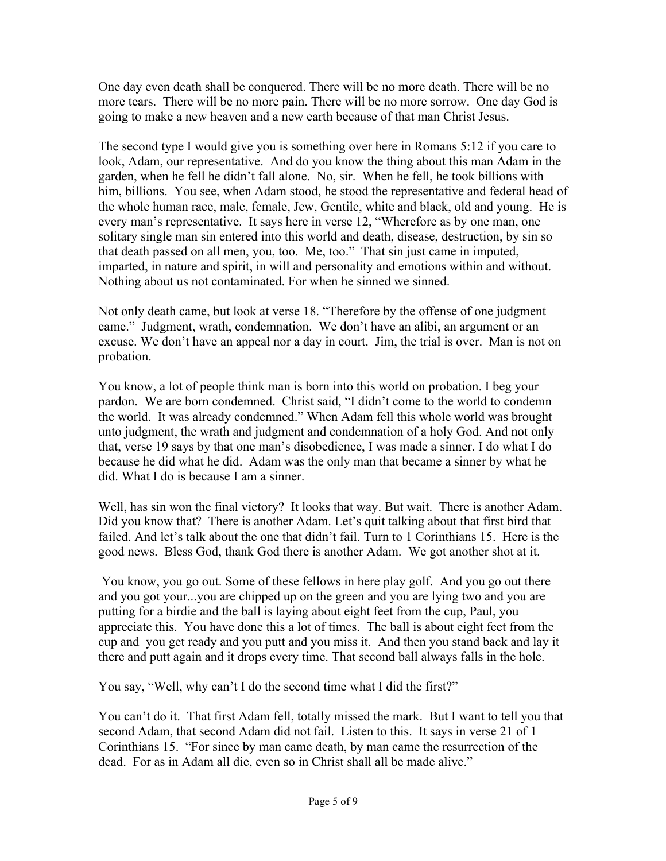One day even death shall be conquered. There will be no more death. There will be no more tears. There will be no more pain. There will be no more sorrow. One day God is going to make a new heaven and a new earth because of that man Christ Jesus.

The second type I would give you is something over here in Romans 5:12 if you care to look, Adam, our representative. And do you know the thing about this man Adam in the garden, when he fell he didn't fall alone. No, sir. When he fell, he took billions with him, billions. You see, when Adam stood, he stood the representative and federal head of the whole human race, male, female, Jew, Gentile, white and black, old and young. He is every man's representative. It says here in verse 12, "Wherefore as by one man, one solitary single man sin entered into this world and death, disease, destruction, by sin so that death passed on all men, you, too. Me, too." That sin just came in imputed, imparted, in nature and spirit, in will and personality and emotions within and without. Nothing about us not contaminated. For when he sinned we sinned.

Not only death came, but look at verse 18. "Therefore by the offense of one judgment came." Judgment, wrath, condemnation. We don't have an alibi, an argument or an excuse. We don't have an appeal nor a day in court. Jim, the trial is over. Man is not on probation.

You know, a lot of people think man is born into this world on probation. I beg your pardon. We are born condemned. Christ said, "I didn't come to the world to condemn the world. It was already condemned." When Adam fell this whole world was brought unto judgment, the wrath and judgment and condemnation of a holy God. And not only that, verse 19 says by that one man's disobedience, I was made a sinner. I do what I do because he did what he did. Adam was the only man that became a sinner by what he did. What I do is because I am a sinner.

Well, has sin won the final victory? It looks that way. But wait. There is another Adam. Did you know that? There is another Adam. Let's quit talking about that first bird that failed. And let's talk about the one that didn't fail. Turn to 1 Corinthians 15. Here is the good news. Bless God, thank God there is another Adam. We got another shot at it.

You know, you go out. Some of these fellows in here play golf. And you go out there and you got your...you are chipped up on the green and you are lying two and you are putting for a birdie and the ball is laying about eight feet from the cup, Paul, you appreciate this. You have done this a lot of times. The ball is about eight feet from the cup and you get ready and you putt and you miss it. And then you stand back and lay it there and putt again and it drops every time. That second ball always falls in the hole.

You say, "Well, why can't I do the second time what I did the first?"

You can't do it. That first Adam fell, totally missed the mark. But I want to tell you that second Adam, that second Adam did not fail. Listen to this. It says in verse 21 of 1 Corinthians 15. "For since by man came death, by man came the resurrection of the dead. For as in Adam all die, even so in Christ shall all be made alive."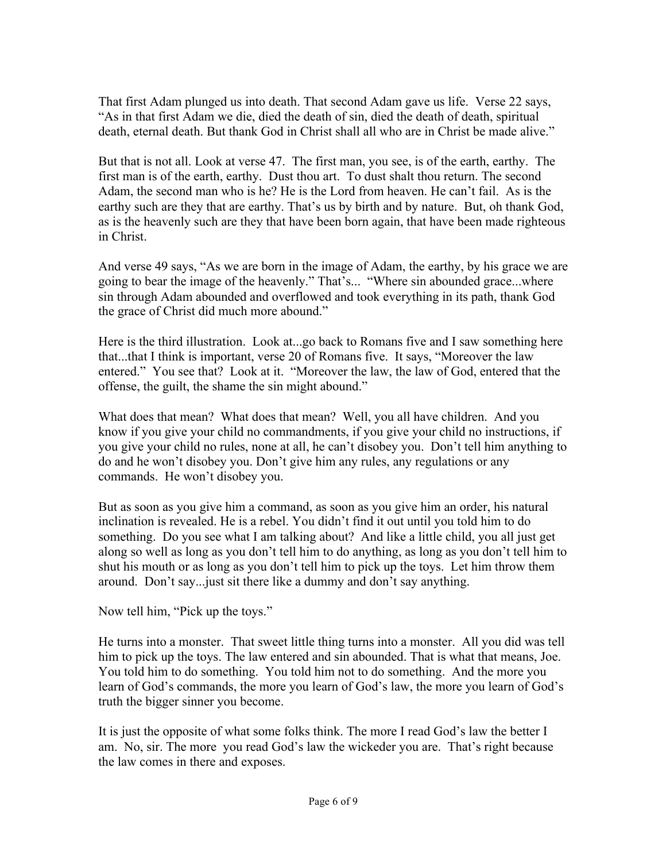That first Adam plunged us into death. That second Adam gave us life. Verse 22 says, "As in that first Adam we die, died the death of sin, died the death of death, spiritual death, eternal death. But thank God in Christ shall all who are in Christ be made alive."

But that is not all. Look at verse 47. The first man, you see, is of the earth, earthy. The first man is of the earth, earthy. Dust thou art. To dust shalt thou return. The second Adam, the second man who is he? He is the Lord from heaven. He can't fail. As is the earthy such are they that are earthy. That's us by birth and by nature. But, oh thank God, as is the heavenly such are they that have been born again, that have been made righteous in Christ.

And verse 49 says, "As we are born in the image of Adam, the earthy, by his grace we are going to bear the image of the heavenly." That's... "Where sin abounded grace...where sin through Adam abounded and overflowed and took everything in its path, thank God the grace of Christ did much more abound."

Here is the third illustration. Look at...go back to Romans five and I saw something here that...that I think is important, verse 20 of Romans five. It says, "Moreover the law entered." You see that? Look at it. "Moreover the law, the law of God, entered that the offense, the guilt, the shame the sin might abound."

What does that mean? What does that mean? Well, you all have children. And you know if you give your child no commandments, if you give your child no instructions, if you give your child no rules, none at all, he can't disobey you. Don't tell him anything to do and he won't disobey you. Don't give him any rules, any regulations or any commands. He won't disobey you.

But as soon as you give him a command, as soon as you give him an order, his natural inclination is revealed. He is a rebel. You didn't find it out until you told him to do something. Do you see what I am talking about? And like a little child, you all just get along so well as long as you don't tell him to do anything, as long as you don't tell him to shut his mouth or as long as you don't tell him to pick up the toys. Let him throw them around. Don't say...just sit there like a dummy and don't say anything.

Now tell him, "Pick up the toys."

He turns into a monster. That sweet little thing turns into a monster. All you did was tell him to pick up the toys. The law entered and sin abounded. That is what that means, Joe. You told him to do something. You told him not to do something. And the more you learn of God's commands, the more you learn of God's law, the more you learn of God's truth the bigger sinner you become.

It is just the opposite of what some folks think. The more I read God's law the better I am. No, sir. The more you read God's law the wickeder you are. That's right because the law comes in there and exposes.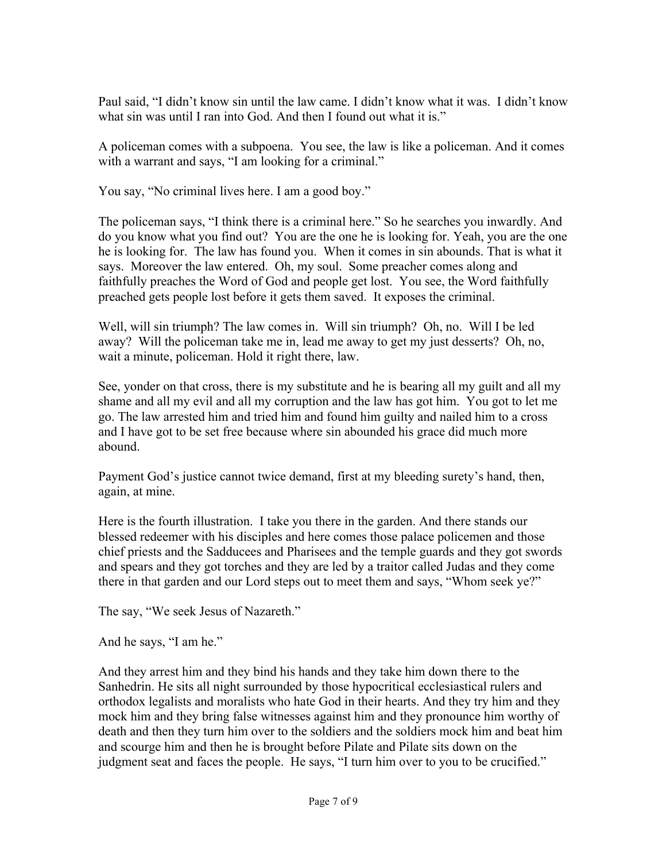Paul said, "I didn't know sin until the law came. I didn't know what it was. I didn't know what sin was until I ran into God. And then I found out what it is."

A policeman comes with a subpoena. You see, the law is like a policeman. And it comes with a warrant and says, "I am looking for a criminal."

You say, "No criminal lives here. I am a good boy."

The policeman says, "I think there is a criminal here." So he searches you inwardly. And do you know what you find out? You are the one he is looking for. Yeah, you are the one he is looking for. The law has found you. When it comes in sin abounds. That is what it says. Moreover the law entered. Oh, my soul. Some preacher comes along and faithfully preaches the Word of God and people get lost. You see, the Word faithfully preached gets people lost before it gets them saved. It exposes the criminal.

Well, will sin triumph? The law comes in. Will sin triumph? Oh, no. Will I be led away? Will the policeman take me in, lead me away to get my just desserts? Oh, no, wait a minute, policeman. Hold it right there, law.

See, yonder on that cross, there is my substitute and he is bearing all my guilt and all my shame and all my evil and all my corruption and the law has got him. You got to let me go. The law arrested him and tried him and found him guilty and nailed him to a cross and I have got to be set free because where sin abounded his grace did much more abound.

Payment God's justice cannot twice demand, first at my bleeding surety's hand, then, again, at mine.

Here is the fourth illustration. I take you there in the garden. And there stands our blessed redeemer with his disciples and here comes those palace policemen and those chief priests and the Sadducees and Pharisees and the temple guards and they got swords and spears and they got torches and they are led by a traitor called Judas and they come there in that garden and our Lord steps out to meet them and says, "Whom seek ye?"

The say, "We seek Jesus of Nazareth."

And he says, "I am he."

And they arrest him and they bind his hands and they take him down there to the Sanhedrin. He sits all night surrounded by those hypocritical ecclesiastical rulers and orthodox legalists and moralists who hate God in their hearts. And they try him and they mock him and they bring false witnesses against him and they pronounce him worthy of death and then they turn him over to the soldiers and the soldiers mock him and beat him and scourge him and then he is brought before Pilate and Pilate sits down on the judgment seat and faces the people. He says, "I turn him over to you to be crucified."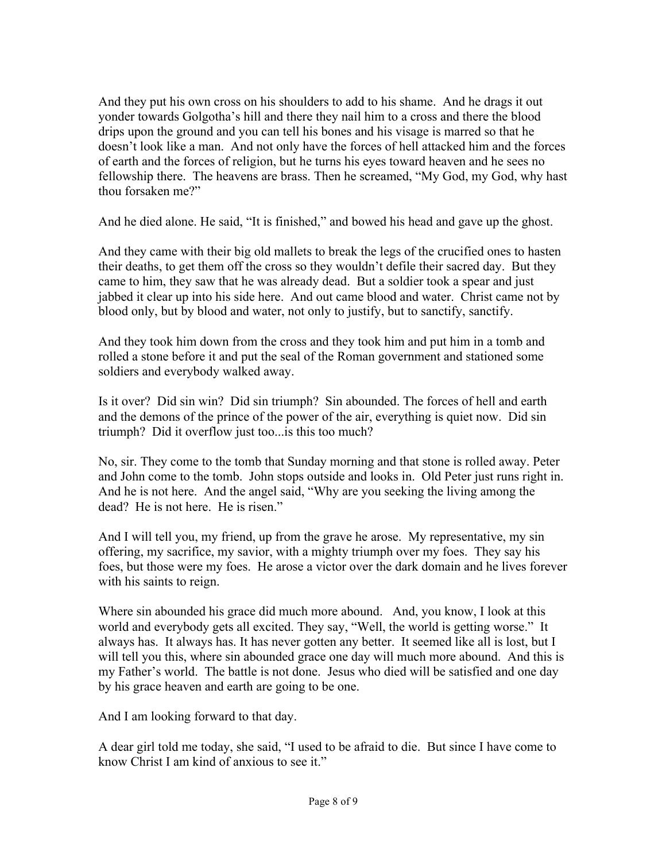And they put his own cross on his shoulders to add to his shame. And he drags it out yonder towards Golgotha's hill and there they nail him to a cross and there the blood drips upon the ground and you can tell his bones and his visage is marred so that he doesn't look like a man. And not only have the forces of hell attacked him and the forces of earth and the forces of religion, but he turns his eyes toward heaven and he sees no fellowship there. The heavens are brass. Then he screamed, "My God, my God, why hast thou forsaken me?"

And he died alone. He said, "It is finished," and bowed his head and gave up the ghost.

And they came with their big old mallets to break the legs of the crucified ones to hasten their deaths, to get them off the cross so they wouldn't defile their sacred day. But they came to him, they saw that he was already dead. But a soldier took a spear and just jabbed it clear up into his side here. And out came blood and water. Christ came not by blood only, but by blood and water, not only to justify, but to sanctify, sanctify.

And they took him down from the cross and they took him and put him in a tomb and rolled a stone before it and put the seal of the Roman government and stationed some soldiers and everybody walked away.

Is it over? Did sin win? Did sin triumph? Sin abounded. The forces of hell and earth and the demons of the prince of the power of the air, everything is quiet now. Did sin triumph? Did it overflow just too...is this too much?

No, sir. They come to the tomb that Sunday morning and that stone is rolled away. Peter and John come to the tomb. John stops outside and looks in. Old Peter just runs right in. And he is not here. And the angel said, "Why are you seeking the living among the dead? He is not here. He is risen."

And I will tell you, my friend, up from the grave he arose. My representative, my sin offering, my sacrifice, my savior, with a mighty triumph over my foes. They say his foes, but those were my foes. He arose a victor over the dark domain and he lives forever with his saints to reign.

Where sin abounded his grace did much more abound. And, you know, I look at this world and everybody gets all excited. They say, "Well, the world is getting worse." It always has. It always has. It has never gotten any better. It seemed like all is lost, but I will tell you this, where sin abounded grace one day will much more abound. And this is my Father's world. The battle is not done. Jesus who died will be satisfied and one day by his grace heaven and earth are going to be one.

And I am looking forward to that day.

A dear girl told me today, she said, "I used to be afraid to die. But since I have come to know Christ I am kind of anxious to see it."